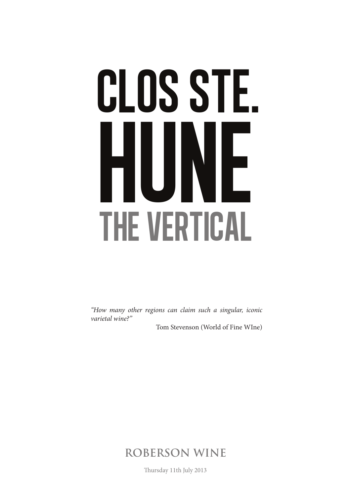## CLOS STE. HUNE the VERTICAL

*"How many other regions can claim such a singular, iconic varietal wine?"*

Tom Stevenson (World of Fine WIne)

**ROBERSON WINE**

Thursday 11th July 2013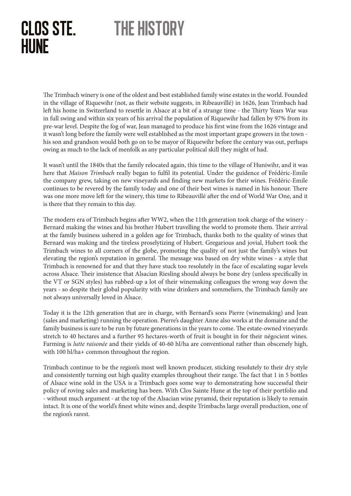## clos ste. HUNE the history

The Trimbach winery is one of the oldest and best established family wine estates in the world. Founded in the village of Riquewihr (not, as their website suggests, in Ribeauvillé) in 1626, Jean Trimbach had left his home in Switzerland to resettle in Alsace at a bit of a strange time - the Thirty Years War was in full swing and within six years of his arrival the population of Riquewihr had fallen by 97% from its pre-war level. Despite the fog of war, Jean managed to produce his first wine from the 1626 vintage and it wasn't long before the family were well established as the most important grape growers in the town his son and grandson would both go on to be mayor of Riquewihr before the century was out, perhaps owing as much to the lack of menfolk as any particular political skill they might of had.

It wasn't until the 1840s that the family relocated again, this time to the village of Huniwihr, and it was here that *Maison Trimbach* really began to fulfil its potential. Under the guidence of Frédéric-Emile the company grew, taking on new vineyards and finding new markets for their wines. Frédéric-Emile continues to be revered by the family today and one of their best wines is named in his honour. There was one more move left for the winery, this time to Ribeauvillé after the end of World War One, and it is there that they remain to this day.

The modern era of Trimbach begins after WW2, when the 11th generation took charge of the winery - Bernard making the wines and his brother Hubert travelling the world to promote them. Their arrival at the family business ushered in a golden age for Trimbach, thanks both to the quality of wines that Bernard was making and the tireless proselytizing of Hubert. Gregarious and jovial, Hubert took the Trimbach wines to all corners of the globe, promoting the quality of not just the family's wines but elevating the region's reputation in general. The message was based on dry white wines - a style that Trimbach is renowned for and that they have stuck too resolutely in the face of escalating sugar levels across Alsace. Their insistence that Alsacian Riesling should always be bone dry (unless specifically in the VT or SGN styles) has rubbed-up a lot of their winemaking colleagues the wrong way down the years - so despite their global popularity with wine drinkers and sommeliers, the Trimbach family are not always universally loved in Alsace.

Today it is the 12th generation that are in charge, with Bernard's sons Pierre (winemaking) and Jean (sales and marketing) running the operation. Pierre's daughter Anne also works at the domaine and the family business is sure to be run by future generations in the years to come. The estate-owned vineyards stretch to 40 hectares and a further 95 hectares-worth of fruit is bought in for their négocient wines. Farming is *lutte raisonée* and their yields of 40-60 hl/ha are conventional rather than obscenely high, with 100 hl/ha+ common throughout the region.

Trimbach continue to be the region's most well known producer, sticking resolutely to their dry style and consistently turning out high quality examples throughout their range. The fact that 1 in 5 bottles of Alsace wine sold in the USA is a Trimbach goes some way to demonstrating how successful their policy of roving sales and marketing has been. With Clos Sainte Hune at the top of their portfolio and - without much argument - at the top of the Alsacian wine pyramid, their reputation is likely to remain intact. It is one of the world's finest white wines and, despite Trimbachs large overall production, one of the region's rarest.